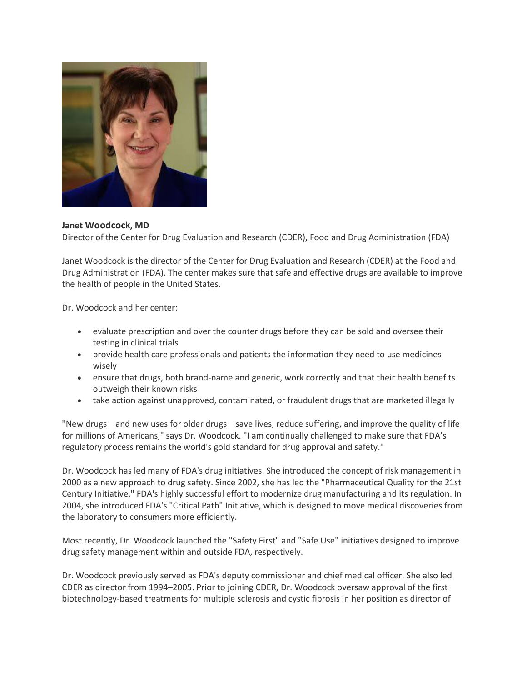

**Janet Woodcock, MD**

Director of the Center for Drug Evaluation and Research (CDER), Food and Drug Administration (FDA)

Janet Woodcock is the director of the Center for Drug Evaluation and Research (CDER) at the Food and Drug Administration (FDA). The center makes sure that safe and effective drugs are available to improve the health of people in the United States.

Dr. Woodcock and her center:

- evaluate prescription and over the counter drugs before they can be sold and oversee their testing in clinical trials
- provide health care professionals and patients the information they need to use medicines wisely
- ensure that drugs, both brand-name and generic, work correctly and that their health benefits outweigh their known risks
- take action against unapproved, contaminated, or fraudulent drugs that are marketed illegally

"New drugs—and new uses for older drugs—save lives, reduce suffering, and improve the quality of life for millions of Americans," says Dr. Woodcock. "I am continually challenged to make sure that FDA's regulatory process remains the world's gold standard for drug approval and safety."

Dr. Woodcock has led many of FDA's drug initiatives. She introduced the concept of risk management in 2000 as a new approach to drug safety. Since 2002, she has led the "Pharmaceutical Quality for the 21st Century Initiative," FDA's highly successful effort to modernize drug manufacturing and its regulation. In 2004, she introduced FDA's "Critical Path" Initiative, which is designed to move medical discoveries from the laboratory to consumers more efficiently.

Most recently, Dr. Woodcock launched the "Safety First" and "Safe Use" initiatives designed to improve drug safety management within and outside FDA, respectively.

Dr. Woodcock previously served as FDA's deputy commissioner and chief medical officer. She also led CDER as director from 1994–2005. Prior to joining CDER, Dr. Woodcock oversaw approval of the first biotechnology-based treatments for multiple sclerosis and cystic fibrosis in her position as director of